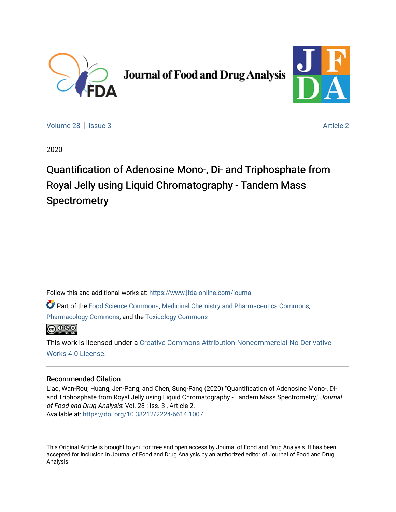

# **Journal of Food and Drug Analysis**



[Volume 28](https://www.jfda-online.com/journal/vol28) | [Issue 3](https://www.jfda-online.com/journal/vol28/iss3) [Article 2](https://www.jfda-online.com/journal/vol28/iss3/2) Article 2

2020

Quantification of Adenosine Mono-, Di- and Triphosphate from Royal Jelly using Liquid Chromatography - Tandem Mass **Spectrometry** 

Follow this and additional works at: [https://www.jfda-online.com/journal](https://www.jfda-online.com/journal?utm_source=www.jfda-online.com%2Fjournal%2Fvol28%2Fiss3%2F2&utm_medium=PDF&utm_campaign=PDFCoverPages)

Part of the [Food Science Commons,](http://network.bepress.com/hgg/discipline/84?utm_source=www.jfda-online.com%2Fjournal%2Fvol28%2Fiss3%2F2&utm_medium=PDF&utm_campaign=PDFCoverPages) [Medicinal Chemistry and Pharmaceutics Commons](http://network.bepress.com/hgg/discipline/65?utm_source=www.jfda-online.com%2Fjournal%2Fvol28%2Fiss3%2F2&utm_medium=PDF&utm_campaign=PDFCoverPages), [Pharmacology Commons,](http://network.bepress.com/hgg/discipline/66?utm_source=www.jfda-online.com%2Fjournal%2Fvol28%2Fiss3%2F2&utm_medium=PDF&utm_campaign=PDFCoverPages) and the [Toxicology Commons](http://network.bepress.com/hgg/discipline/67?utm_source=www.jfda-online.com%2Fjournal%2Fvol28%2Fiss3%2F2&utm_medium=PDF&utm_campaign=PDFCoverPages)



This work is licensed under a [Creative Commons Attribution-Noncommercial-No Derivative](https://creativecommons.org/licenses/by-nc-nd/4.0/)  [Works 4.0 License](https://creativecommons.org/licenses/by-nc-nd/4.0/).

# Recommended Citation

Liao, Wan-Rou; Huang, Jen-Pang; and Chen, Sung-Fang (2020) "Quantification of Adenosine Mono-, Diand Triphosphate from Royal Jelly using Liquid Chromatography - Tandem Mass Spectrometry," Journal of Food and Drug Analysis: Vol. 28 : Iss. 3 , Article 2. Available at:<https://doi.org/10.38212/2224-6614.1007>

This Original Article is brought to you for free and open access by Journal of Food and Drug Analysis. It has been accepted for inclusion in Journal of Food and Drug Analysis by an authorized editor of Journal of Food and Drug Analysis.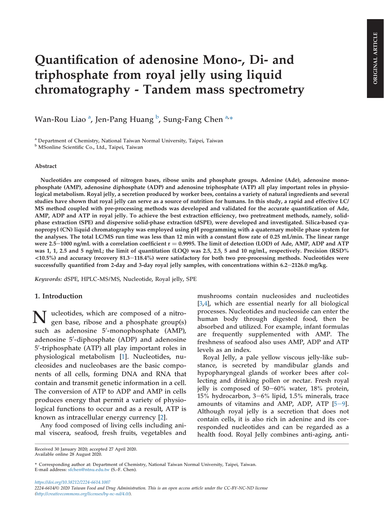# Quantification of adenosine Mono-, Di- and triphosphate from royal jelly using liquid chromatography - Tandem mass spectrometry

Wan-Rou Liao <sup>a</sup>, Jen-Pang Huang <sup>b</sup>, Sung-Fang Chen <sup>a,</sup>\*

<sup>a</sup> Department of Chemistry, National Taiwan Normal University, Taipei, Taiwan

<sup>b</sup> MSonline Scientific Co., Ltd., Taipei, Taiwan

### Abstract

Nucleotides are composed of nitrogen bases, ribose units and phosphate groups. Adenine (Ade), adenosine monophosphate (AMP), adenosine diphosphate (ADP) and adenosine triphosphate (ATP) all play important roles in physiological metabolism. Royal jelly, a secretion produced by worker bees, contains a variety of natural ingredients and several studies have shown that royal jelly can serve as a source of nutrition for humans. In this study, a rapid and effective LC/ MS method coupled with pre-processing methods was developed and validated for the accurate quantification of Ade, AMP, ADP and ATP in royal jelly. To achieve the best extraction efficiency, two pretreatment methods, namely, solidphase extraction (SPE) and dispersive solid-phase extraction (dSPE), were developed and investigated. Silica-based cyanopropyl (CN) liquid chromatography was employed using pH programming with a quaternary mobile phase system for the analyses. The total LC/MS run time was less than 12 min with a constant flow rate of 0.25 mL/min. The linear range were 2.5–1000 ng/mL with a correlation coefficient  $r = 0.9995$ . The limit of detection (LOD) of Ade, AMP, ADP and ATP was 1, 1, 2.5 and 5 ng/mL; the limit of quantitation (LOQ) was 2.5, 2.5, 5 and 10 ng/mL, respectively. Precision (RSD%  $<$ 10.5%) and accuracy (recovery 81.3–118.4%) were satisfactory for both two pre-processing methods. Nucleotides were successfully quantified from 2-day and 3-day royal jelly samples, with concentrations within 6.2-2126.0 mg/kg.

Keywords: dSPE, HPLC-MS/MS, Nucleotide, Royal jelly, SPE

#### 1. Introduction

N ucleotides, which are composed of a nitrogen base, ribose and a phosphate group(s) such as adenosine 5'-monophosphate (AMP), adenosine 5'-diphosphate (ADP) and adenosine 5'-triphosphate (ATP) all play important roles in physiological metabolism [[1\]](#page-9-0). Nucleotides, nucleosides and nucleobases are the basic components of all cells, forming DNA and RNA that contain and transmit genetic information in a cell. The conversion of ATP to ADP and AMP in cells produces energy that permit a variety of physiological functions to occur and as a result, ATP is known as intracellular energy currency [[2\]](#page-9-0).

Any food composed of living cells including animal viscera, seafood, fresh fruits, vegetables and mushrooms contain nucleosides and nucleotides [\[3](#page-9-0),[4\]](#page-9-0), which are essential nearly for all biological processes. Nucleotides and nucleoside can enter the human body through digested food, then be absorbed and utilized. For example, infant formulas are frequently supplemented with AMP. The freshness of seafood also uses AMP, ADP and ATP levels as an index.

Royal Jelly, a pale yellow viscous jelly-like substance, is secreted by mandibular glands and hypopharyngeal glands of worker bees after collecting and drinking pollen or nectar. Fresh royal jelly is composed of  $50-60\%$  water,  $18\%$  protein, 15% hydrocarbon,  $3-6$ % lipid,  $1.5$ % minerals, trace amounts of vitamins and AMP, ADP, ATP  $[5-9]$  $[5-9]$  $[5-9]$ . Although royal jelly is a secretion that does not contain cells, it is also rich in adenine and its corresponded nucleotides and can be regarded as a health food. Royal Jelly combines anti-aging, anti-

https://doi.org/10.38212/2224-6614.1007 2224-6614/© 2020 Taiwan Food and Drug Administration. This is an open access article under the CC-BY-NC-ND license (http://creativecommons.org/licenses/by-nc-nd/4.0/).

Received 30 January 2020; accepted 27 April 2020. Available online 28 August 2020.

<sup>\*</sup> Corresponding author at: Department of Chemistry, National Taiwan Normal University, Taipei, Taiwan. E-mail address: sfchen@ntnu.edu.tw (S.-F. Chen).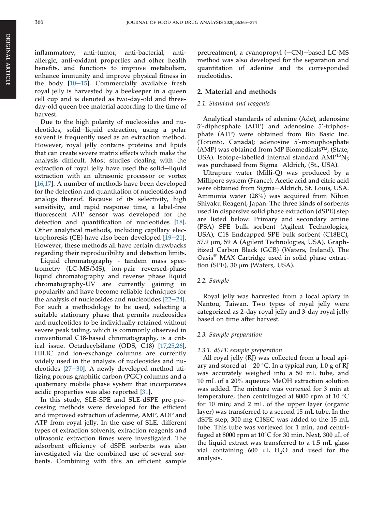inflammatory, anti-tumor, anti-bacterial, antiallergic, anti-oxidant properties and other health benefits, and functions to improve metabolism, enhance immunity and improve physical fitness in the body  $[10-15]$  $[10-15]$  $[10-15]$ . Commercially available fresh royal jelly is harvested by a beekeeper in a queen cell cup and is denoted as two-day-old and threeday-old queen bee material according to the time of harvest.

Due to the high polarity of nucleosides and nucleotides, solid-liquid extraction, using a polar solvent is frequently used as an extraction method. However, royal jelly contains proteins and lipids that can create severe matrix effects which make the analysis difficult. Most studies dealing with the extraction of royal jelly have used the solid-liquid extraction with an ultrasonic processor or vortex [\[16](#page-9-0),[17\]](#page-9-0). A number of methods have been developed for the detection and quantitation of nucleotides and analogs thereof. Because of its selectivity, high sensitivity, and rapid response time, a label-free fluorescent ATP sensor was developed for the detection and quantification of nucleotides [\[18](#page-9-0)]. Other analytical methods, including capillary electrophoresis (CE) have also been developed  $[19-21]$  $[19-21]$  $[19-21]$  $[19-21]$  $[19-21]$ . However, these methods all have certain drawbacks regarding their reproducibility and detection limits.

Liquid chromatography - tandem mass spectrometry (LC-MS/MS), ion-pair reversed-phase liquid chromatography and reverse phase liquid chromatography-UV are currently gaining in popularity and have become reliable techniques for the analysis of nucleosides and nucleotides  $[22-24]$  $[22-24]$  $[22-24]$  $[22-24]$  $[22-24]$ . For such a methodology to be used, selecting a suitable stationary phase that permits nucleosides and nucleotides to be individually retained without severe peak tailing, which is commonly observed in conventional C18-based chromatography, is a critical issue. Octadecylsilane (ODS, C18) [\[17](#page-9-0),[25,26](#page-9-0)], HILIC and ion-exchange columns are currently widely used in the analysis of nucleosides and nucleotides  $[27-30]$  $[27-30]$  $[27-30]$ . A newly developed method utilizing porous graphitic carbon (PGC) columns and a quaternary mobile phase system that incorporates acidic properties was also reported [\[31](#page-10-0)].

In this study, SLE-SPE and SLE-dSPE pre-processing methods were developed for the efficient and improved extraction of adenine, AMP, ADP and ATP from royal jelly. In the case of SLE, different types of extraction solvents, extraction reagents and ultrasonic extraction times were investigated. The adsorbent efficiency of dSPE sorbents was also investigated via the combined use of several sorbents. Combining with this an efficient sample

pretreatment, a cyanopropyl  $(-CN)$ -based LC-MS method was also developed for the separation and quantitation of adenine and its corresponded nucleotides.

#### 2. Material and methods

#### 2.1. Standard and reagents

Analytical standards of adenine (Ade), adenosine 5'-diphosphate (ADP) and adenosine 5'-triphosphate (ATP) were obtained from Bio Basic Inc. (Toronto, Canada); adenosine 5'-monophosphate (AMP) was obtained from MP Biomedicals™, (State, USA). Isotope-labelled internal standard  $AMP^{15}N_5$ was purchased from Sigma-Aldrich, (St., USA).

Ultrapure water (Milli-Q) was produced by a Millipore system (France). Acetic acid and citric acid were obtained from Sigma-Aldrich, St. Louis, USA. Ammonia water (28%) was acquired from Nihon Shiyaku Reagent, Japan. The three kinds of sorbents used in dispersive solid phase extraction (dSPE) step are listed below: Primary and secondary amine (PSA) SPE bulk sorbent (Agilent Technologies, USA), C18 Endcapped SPE bulk sorbent (C18EC), 57.9 mm, 59 A (Agilent Technologies, USA), Graphitized Carbon Black (GCB) (Waters, Ireland). The Oasis® MAX Cartridge used in solid phase extraction (SPE), 30  $\mu$ m (Waters, USA).

#### 2.2. Sample

Royal jelly was harvested from a local apiary in Nantou, Taiwan. Two types of royal jelly were categorized as 2-day royal jelly and 3-day royal jelly based on time after harvest.

### 2.3. Sample preparation

#### 2.3.1. dSPE sample preparation

All royal jelly (RJ) was collected from a local apiary and stored at  $-20$  °C. In a typical run, 1.0 g of RJ was accurately weighed into a 50 mL tube, and 10 mL of a 20% aqueous MeOH extraction solution was added. The mixture was vortexed for 3 min at temperature, then centrifuged at 8000 rpm at 10 $\degree$ C for 10 min; and 2 mL of the upper layer (organic layer) was transferred to a second 15 mL tube. In the dSPE step, 300 mg C18EC was added to the 15 mL tube. This tube was vortexed for 1 min, and centrifuged at 8000 rpm at 10 $\degree$ C for 30 min. Next, 300 µL of the liquid extract was transferred to a 1.5 mL glass vial containing 600  $\mu$ L H<sub>2</sub>O and used for the analysis.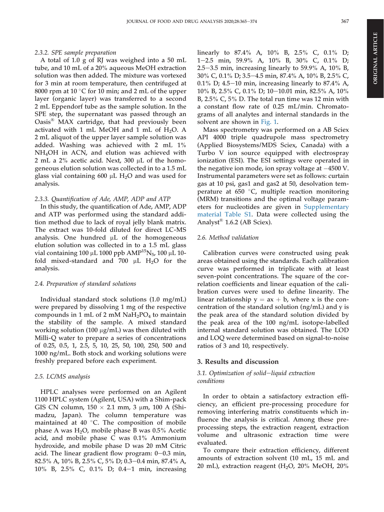# 2.3.2. SPE sample preparation

A total of 1.0 g of RJ was weighed into a 50 mL tube, and 10 mL of a 20% aqueous MeOH extraction solution was then added. The mixture was vortexed for 3 min at room temperature, then centrifuged at 8000 rpm at 10  $\degree$ C for 10 min; and 2 mL of the upper layer (organic layer) was transferred to a second 2 mL Eppendorf tube as the sample solution. In the SPE step, the supernatant was passed through an Oasis® MAX cartridge, that had previously been activated with 1 mL MeOH and 1 mL of  $H_2O$ . A 2 mL aliquot of the upper layer sample solution was added. Washing was achieved with 2 mL 1% NH4OH in ACN, and elution was achieved with 2 mL a 2% acetic acid. Next, 300 µL of the homogeneous elution solution was collected in to a 1.5 mL glass vial containing  $600 \mu L$  H<sub>2</sub>O and was used for analysis.

# 2.3.3. Quantification of Ade, AMP, ADP and ATP

In this study, the quantification of Ade, AMP, ADP and ATP was performed using the standard addition method due to lack of royal jelly blank matrix. The extract was 10-fold diluted for direct LC-MS analysis. One hundred  $\mu$ L of the homogeneous elution solution was collected in to a 1.5 mL glass vial containing 100 µL 1000 ppb  $\text{AMP}^{15}\text{N}_5$ , 100 µL 10fold mixed-standard and 700  $\mu$ L H<sub>2</sub>O for the analysis.

# 2.4. Preparation of standard solutions

Individual standard stock solutions (1.0 mg/mL) were prepared by dissolving 1 mg of the respective compounds in 1 mL of 2 mM  $NaH<sub>2</sub>PO<sub>4</sub>$  to maintain the stability of the sample. A mixed standard working solution (100 µg/mL) was then diluted with Milli-Q water to prepare a series of concentrations of 0.25, 0.5, 1, 2.5, 5, 10, 25, 50, 100, 250, 500 and 1000 ng/mL. Both stock and working solutions were freshly prepared before each experiment.

# 2.5. LC/MS analysis

HPLC analyses were performed on an Agilent 1100 HPLC system (Agilent, USA) with a Shim-pack GIS CN column,  $150 \times 2.1$  mm, 3 µm, 100 A (Shimadzu, Japan). The column temperature was maintained at  $40^\circ$ C. The composition of mobile phase A was  $H_2O$ , mobile phase B was 0.5% Acetic acid, and mobile phase C was 0.1% Ammonium hydroxide, and mobile phase D was 20 mM Citric acid. The linear gradient flow program:  $0-0.3$  min, 82.5% A, 10% B, 2.5% C, 5% D; 0.3-0.4 min, 87.4% A, 10% B, 2.5% C, 0.1% D; 0.4-1 min, increasing linearly to 87.4% A, 10% B, 2.5% C, 0.1% D; 1e2.5 min, 59.9% A, 10% B, 30% C, 0.1% D; 2.5–3.5 min, increasing linearly to 59.9% A,  $10\%$  B, 30% C, 0.1% D; 3.5-4.5 min, 87.4% A, 10% B, 2.5% C, 0.1% D; 4.5–10 min, increasing linearly to 87.4% A, 10% B, 2.5% C, 0.1% D; 10-10.01 min, 82.5% A, 10% B, 2.5% C, 5% D. The total run time was 12 min with a constant flow rate of 0.25 mL/min. Chromatograms of all analytes and internal standards in the solvent are shown in [Fig. 1.](#page-4-0)

Mass spectrometry was performed on a AB Sciex API 4000 triple quadrupole mass spectrometry (Applied Biosystems/MDS Sciex, Canada) with a Turbo V ion source equipped with electrospray ionization (ESI). The ESI settings were operated in the negative ion mode, ion spray voltage at  $-4500$  V. Instrumental parameters were set as follows: curtain gas at 10 psi, gas1 and gas2 at 50, desolvation temperature at  $650$  °C, multiple reaction monitoring (MRM) transitions and the optimal voltage parameters for nucleotides are given in [Supplementary](#page-9-0) [material Table S1](#page-9-0). Data were collected using the Analyst® 1.6.2 (AB Sciex).

# 2.6. Method validation

Calibration curves were constructed using peak areas obtained using the standards. Each calibration curve was performed in triplicate with at least seven-point concentrations. The square of the correlation coefficients and linear equation of the calibration curves were used to define linearity. The linear relationship  $y = ax + b$ , where x is the concentration of the standard solution (ng/mL) and y is the peak area of the standard solution divided by the peak area of the 100 ng/mL isotope-labelled internal standard solution was obtained. The LOD and LOQ were determined based on signal-to-noise ratios of 3 and 10, respectively.

#### 3. Results and discussion

### 3.1. Optimization of solid-liquid extraction conditions

In order to obtain a satisfactory extraction efficiency, an efficient pre-processing procedure for removing interfering matrix constituents which influence the analysis is critical. Among these preprocessing steps, the extraction reagent, extraction volume and ultrasonic extraction time were evaluated.

To compare their extraction efficiency, different amounts of extraction solvent (10 mL, 15 mL and 20 mL), extraction reagent (H<sub>2</sub>O, 20% MeOH, 20%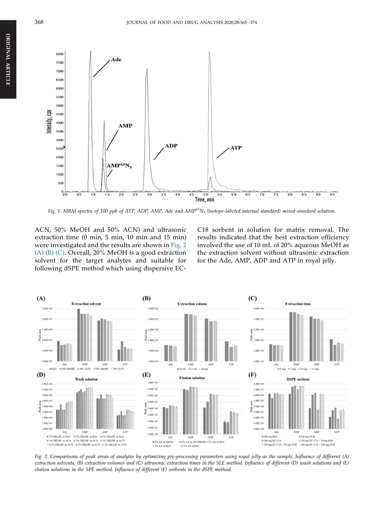<span id="page-4-0"></span>

Fig. 1. MRM spectra of 100 ppb of ATP, ADP, AMP, Ade and  $AMP^{15}N_5$  (isotope-labeled internal standard) mixed-standard solution.

ACN, 50% MeOH and 50% ACN) and ultrasonic extraction time (0 min, 5 min, 10 min and 15 min) were investigated and the results are shown in Fig. 2 (A) (B) (C). Overall, 20% MeOH is a good extraction solvent for the target analytes and suitable for following dSPE method which using dispersive EC- C18 sorbent in solution for matrix removal. The results indicated that the best extraction efficiency involved the use of 10 mL of 20% aqueous MeOH as the extraction solvent without ultrasonic extraction for the Ade, AMP, ADP and ATP in royal jelly.



Fig. 2. Comparisons of peak areas of analytes by optimizing pre-processing parameters using royal jelly as the sample. Influence of different (A) extraction solvents, (B) extraction volumes and (C) ultrasonic extraction times in the SLE method. Influence of different (D) wash solutions and (E) elution solutions in the SPE method. Influence of different (F) sorbents in the dSPE method.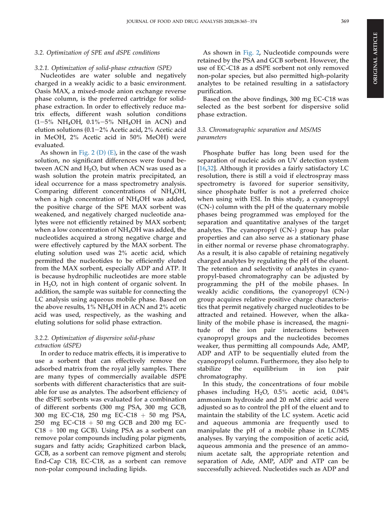#### 3.2. Optimization of SPE and dSPE conditions

#### 3.2.1. Optimization of solid-phase extraction (SPE)

Nucleotides are water soluble and negatively charged in a weakly acidic to a basic environment. Oasis MAX, a mixed-mode anion exchange reverse phase column, is the preferred cartridge for solidphase extraction. In order to effectively reduce matrix effects, different wash solution conditions  $(1-5\% \text{ NH}_4\text{OH}, 0.1\% - 5\% \text{ NH}_4\text{OH}$  in ACN) and elution solutions (0.1-2% Acetic acid, 2% Acetic acid in MeOH, 2% Acetic acid in 50% MeOH) were evaluated.

As shown in Fig.  $2(D)$  (E), in the case of the wash solution, no significant differences were found between ACN and  $H_2O$ , but when ACN was used as a wash solution the protein matrix precipitated, an ideal occurrence for a mass spectrometry analysis. Comparing different concentrations of NH4OH, when a high concentration of NH<sub>4</sub>OH was added, the positive charge of the SPE MAX sorbent was weakened, and negatively charged nucleotide analytes were not efficiently retained by MAX sorbent; when a low concentration of  $NH_4OH$  was added, the nucleotides acquired a strong negative charge and were effectively captured by the MAX sorbent. The eluting solution used was 2% acetic acid, which permitted the nucleotides to be efficiently eluted from the MAX sorbent, especially ADP and ATP. It is because hydrophilic nucleotides are more stable in  $H<sub>2</sub>O$ , not in high content of organic solvent. In addition, the sample was suitable for connecting the LC analysis using aqueous mobile phase. Based on the above results,  $1\%$  NH<sub>4</sub>OH in ACN and  $2\%$  acetic acid was used, respectively, as the washing and eluting solutions for solid phase extraction.

### 3.2.2. Optimization of dispersive solid-phase extraction (dSPE)

In order to reduce matrix effects, it is imperative to use a sorbent that can effectively remove the adsorbed matrix from the royal jelly samples. There are many types of commercially available dSPE sorbents with different characteristics that are suitable for use as analytes. The adsorbent efficiency of the dSPE sorbents was evaluated for a combination of different sorbents (300 mg PSA, 300 mg GCB, 300 mg EC-C18, 250 mg EC-C18  $+$  50 mg PSA, 250 mg EC-C18  $+$  50 mg GCB and 200 mg EC- $C18 + 100$  mg GCB). Using PSA as a sorbent can remove polar compounds including polar pigments, sugars and fatty acids; Graphitized carbon black, GCB, as a sorbent can remove pigment and sterols; End-Cap C18, EC-C18, as a sorbent can remove non-polar compound including lipids.

As shown in [Fig. 2,](#page-4-0) Nucleotide compounds were retained by the PSA and GCB sorbent. However, the use of EC-C18 as a dSPE sorbent not only removed non-polar species, but also permitted high-polarity analytes to be retained resulting in a satisfactory purification.

Based on the above findings, 300 mg EC-C18 was selected as the best sorbent for dispersive solid phase extraction.

# 3.3. Chromatographic separation and MS/MS parameters

Phosphate buffer has long been used for the separation of nucleic acids on UV detection system [\[16](#page-9-0),[32\]](#page-10-0). Although it provides a fairly satisfactory LC resolution, there is still a void if electrospray mass spectrometry is favored for superior sensitivity, since phosphate buffer is not a preferred choice when using with ESI. In this study, a cyanopropyl (CN-) column with the pH of the quaternary mobile phases being programmed was employed for the separation and quantitative analyses of the target analytes. The cyanopropyl (CN-) group has polar properties and can also serve as a stationary phase in either normal or reverse phase chromatography. As a result, it is also capable of retaining negatively charged analytes by regulating the pH of the eluent. The retention and selectivity of analytes in cyanopropyl-based chromatography can be adjusted by programming the pH of the mobile phases. In weakly acidic conditions, the cyanopropyl (CN-) group acquires relative positive charge characteristics that permit negatively charged nucleotides to be attracted and retained. However, when the alkalinity of the mobile phase is increased, the magnitude of the ion pair interactions between cyanopropyl groups and the nucleotides becomes weaker, thus permitting all compounds Ade, AMP, ADP and ATP to be sequentially eluted from the cyanopropyl column. Furthermore, they also help to stabilize the equilibrium in ion pair chromatography.

In this study, the concentrations of four mobile phases including  $H<sub>2</sub>O$ , 0.5% acetic acid, 0.04% ammonium hydroxide and 20 mM citric acid were adjusted so as to control the pH of the eluent and to maintain the stability of the LC system. Acetic acid and aqueous ammonia are frequently used to manipulate the pH of a mobile phase in LC/MS analyses. By varying the composition of acetic acid, aqueous ammonia and the presence of an ammonium acetate salt, the appropriate retention and separation of Ade, AMP, ADP and ATP can be successfully achieved. Nucleotides such as ADP and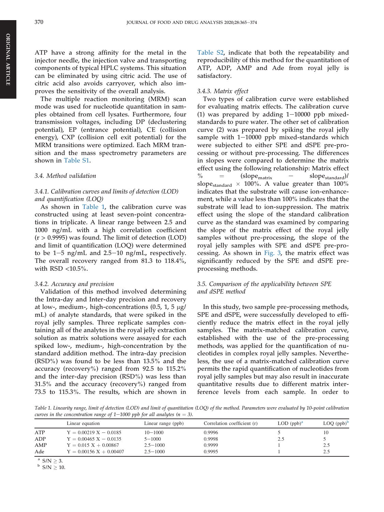ATP have a strong affinity for the metal in the injector needle, the injection valve and transporting components of typical HPLC systems. This situation can be eliminated by using citric acid. The use of citric acid also avoids carryover, which also improves the sensitivity of the overall analysis.

The multiple reaction monitoring (MRM) scan mode was used for nucleotide quantitation in samples obtained from cell lysates. Furthermore, four transmission voltages, including DP (declustering potential), EP (entrance potential), CE (collision energy), CXP (collision cell exit potential) for the MRM transitions were optimized. Each MRM transition and the mass spectrometry parameters are shown in [Table S1.](#page-9-0)

#### 3.4. Method validation

### 3.4.1. Calibration curves and limits of detection (LOD) and quantification (LOQ)

As shown in Table 1, the calibration curve was constructed using at least seven-point concentrations in triplicate. A linear range between 2.5 and 1000 ng/mL with a high correlation coefficient  $(r > 0.9995)$  was found. The limit of detection (LOD) and limit of quantification (LOQ) were determined to be  $1-5$  ng/mL and  $2.5-10$  ng/mL, respectively. The overall recovery ranged from 81.3 to 118.4%, with RSD <10.5%.

#### 3.4.2. Accuracy and precision

Validation of this method involved determining the Intra-day and Inter-day precision and recovery at low-, medium-, high-concentrations  $(0.5, 1, 5 \mu g)$ mL) of analyte standards, that were spiked in the royal jelly samples. Three replicate samples containing all of the analytes in the royal jelly extraction solution as matrix solutions were assayed for each spiked low-, medium-, high-concentration by the standard addition method. The intra-day precision (RSD%) was found to be less than 13.5% and the accuracy (recovery%) ranged from 92.5 to 115.2% and the inter-day precision (RSD%) was less than 31.5% and the accuracy (recovery%) ranged from 73.5 to 115.3%. The results, which are shown in

[Table S2](#page-9-0), indicate that both the repeatability and reproducibility of this method for the quantitation of ATP, ADP, AMP and Ade from royal jelly is satisfactory.

#### 3.4.3. Matrix effect

Two types of calibration curve were established for evaluating matrix effects. The calibration curve (1) was prepared by adding  $1-10000$  ppb mixedstandards to pure water. The other set of calibration curve (2) was prepared by spiking the royal jelly sample with  $1-10000$  ppb mixed-standards which were subjected to either SPE and dSPE pre-processing or without pre-processing. The differences in slopes were compared to determine the matrix effect using the following relationship: Matrix effect  $\%$  =  $(slope_{\text{matrix}}$  -  $slope_{\text{standard}})$ / slope<sub>standard</sub>  $\times$  100%. A value greater than 100% indicates that the substrate will cause ion-enhancement, while a value less than 100% indicates that the substrate will lead to ion-suppression. The matrix effect using the slope of the standard calibration curve as the standard was examined by comparing the slope of the matrix effect of the royal jelly samples without pre-processing, the slope of the royal jelly samples with SPE and dSPE pre-processing. As shown in [Fig. 3,](#page-7-0) the matrix effect was significantly reduced by the SPE and dSPE preprocessing methods.

### 3.5. Comparison of the applicability between SPE and dSPE method

In this study, two sample pre-processing methods, SPE and dSPE, were successfully developed to efficiently reduce the matrix effect in the royal jelly samples. The matrix-matched calibration curve, established with the use of the pre-processing methods, was applied for the quantification of nucleotides in complex royal jelly samples. Nevertheless, the use of a matrix-matched calibration curve permits the rapid quantification of nucleotides from royal jelly samples but may also result in inaccurate quantitative results due to different matrix interference levels from each sample. In order to

Table 1. Linearity range, limit of detection (LOD) and limit of quantitation (LOQ) of the method. Parameters were evaluated by 10-point calibration curves in the concentration range of  $1-1000$  ppb for all analytes (n = 3).

|     | Linear equation           | Linear range (ppb) | Correlation coefficient (r) | $LOD$ (ppb) <sup>a</sup> | $\text{LOQ (ppb)}^{\mathsf{D}}$ |
|-----|---------------------------|--------------------|-----------------------------|--------------------------|---------------------------------|
| ATP | $Y = 0.00219 X - 0.0185$  | $10 - 1000$        | 0.9996                      |                          | 10                              |
| ADP | $Y = 0.00465 X - 0.0135$  | $5 - 1000$         | 0.9998                      | 2.5                      |                                 |
| AMP | $Y = 0.015 X + 0.00867$   | $2.5 - 1000$       | 0.9999                      |                          | 2.5                             |
| Ade | $Y = 0.00156 X + 0.00407$ | $2.5 - 1000$       | 0.9995                      |                          | 2.5                             |

a  $S/N \geq 3$ .<br>b  $S/N \geq 10$ .

ARTICLE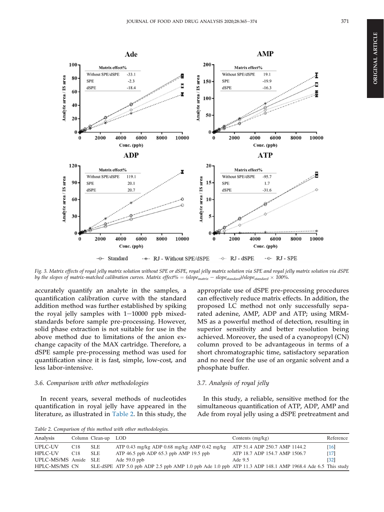<span id="page-7-0"></span>

Fig. 3. Matrix effects of royal jelly matrix solution without SPE or dSPE, royal jelly matrix solution via SPE and royal jelly matrix solution via dSPE by the slopes of matrix-matched calibration curves. Matrix effect% =  $(slop_{\text{matrix}} - slop_{\text{standard}}/slop_{\text{standard}} \times 100\%$ .

accurately quantify an analyte in the samples, a quantification calibration curve with the standard addition method was further established by spiking the royal jelly samples with  $1-10000$  ppb mixedstandards before sample pre-processing. However, solid phase extraction is not suitable for use in the above method due to limitations of the anion exchange capacity of the MAX cartridge. Therefore, a dSPE sample pre-processing method was used for quantification since it is fast, simple, low-cost, and less labor-intensive.

#### 3.6. Comparison with other methodologies

In recent years, several methods of nucleotides quantification in royal jelly have appeared in the literature, as illustrated in Table 2. In this study, the appropriate use of dSPE pre-processing procedures can effectively reduce matrix effects. In addition, the proposed LC method not only successfully separated adenine, AMP, ADP and ATP; using MRM-MS as a powerful method of detection, resulting in superior sensitivity and better resolution being achieved. Moreover, the used of a cyanopropyl (CN) column proved to be advantageous in terms of a short chromatographic time, satisfactory separation and no need for the use of an organic solvent and a phosphate buffer.

#### 3.7. Analysis of royal jelly

In this study, a reliable, sensitive method for the simultaneous quantification of ATP, ADP, AMP and Ade from royal jelly using a dSPE pretreatment and

Table 2. Comparison of this method with other methodologies.

| Analysis             |                 | Column Clean-up | LOD                                                                                                       | Contents $(mg/kg)$            | Reference          |
|----------------------|-----------------|-----------------|-----------------------------------------------------------------------------------------------------------|-------------------------------|--------------------|
| UPLC-UV              | C <sub>18</sub> | <b>SLE</b>      | ATP 0.43 mg/kg ADP 0.68 mg/kg AMP 0.42 mg/kg                                                              | ATP 51.4 ADP 250.7 AMP 1144.2 | $\lceil 16 \rceil$ |
| <b>HPLC-UV</b>       | C18             | <b>SLE</b>      | ATP $46.5$ ppb ADP $65.3$ ppb AMP $19.5$ ppb                                                              | ATP 18.7 ADP 154.7 AMP 1506.7 | [17]               |
| UPLC-MS/MS Amide SLE |                 |                 | Ade $59.0$ ppb                                                                                            | Ade 9.5                       | [32]               |
| HPLC-MS/MS CN        |                 |                 | SLE-dSPE ATP 5.0 ppb ADP 2.5 ppb AMP 1.0 ppb Ade 1.0 ppb ATP 11.3 ADP 148.1 AMP 1968.4 Ade 6.5 This study |                               |                    |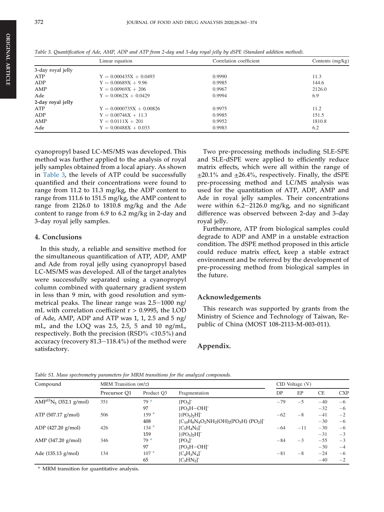ORIGINAL

**ORIGINAL ARTICLE** 

ARTICLE

|                   | Linear equation            | Correlation coefficient | Contents $(mg/kg)$ |
|-------------------|----------------------------|-------------------------|--------------------|
| 3-day royal jelly |                            |                         |                    |
| ATP               | $Y = 0.000435X + 0.0493$   | 0.9990                  | 11.3               |
| ADP               | $Y = 0.00689X + 9.96$      | 0.9985                  | 144.6              |
| AMP               | $Y = 0.00969X + 206$       | 0.9967                  | 2126.0             |
| Ade               | $Y = 0.0062X + 0.0429$     | 0.9994                  | 6.9                |
| 2-day royal jelly |                            |                         |                    |
| ATP               | $Y = 0.0000735X + 0.00826$ | 0.9975                  | 11.2               |
| ADP               | $Y = 0.00746X + 11.3$      | 0.9985                  | 151.5              |
| AMP               | $Y = 0.0111X + 201$        | 0.9952                  | 1810.8             |
| Ade               | $Y = 0.00488X + 0.033$     | 0.9983                  | 6.2                |

Table 3. Quantification of Ade, AMP, ADP and ATP from 2-day and 3-day royal jelly by dSPE (Standard addition method).

cyanopropyl based LC-MS/MS was developed. This method was further applied to the analysis of royal jelly samples obtained from a local apiary. As shown in Table 3, the levels of ATP could be successfully quantified and their concentrations were found to range from 11.2 to 11.3 mg/kg, the ADP content to range from 111.6 to 151.5 mg/kg, the AMP content to range from 2126.0 to 1810.8 mg/kg and the Ade content to range from 6.9 to 6.2 mg/kg in 2-day and 3-day royal jelly samples.

#### 4. Conclusions

In this study, a reliable and sensitive method for the simultaneous quantification of ATP, ADP, AMP and Ade from royal jelly using cyanopropyl based LC-MS/MS was developed. All of the target analytes were successfully separated using a cyanopropyl column combined with quaternary gradient system in less than 9 min, with good resolution and symmetrical peaks. The linear range was  $2.5-1000$  ng/ mL with correlation coefficient  $r > 0.9995$ , the LOD of Ade, AMP, ADP and ATP was 1, 1, 2.5 and 5 ng/ mL, and the LOQ was 2.5, 2.5, 5 and 10 ng/mL, respectively. Both the precision (RSD% <10.5%) and accuracy (recovery  $81.3-118.4%$ ) of the method were satisfactory.

Two pre-processing methods including SLE-SPE and SLE-dSPE were applied to efficiently reduce matrix effects, which were all within the range of  $\pm 20.1\%$  and  $\pm 26.4\%$ , respectively. Finally, the dSPE pre-processing method and LC/MS analysis was used for the quantitation of ATP, ADP, AMP and Ade in royal jelly samples. Their concentrations were within  $6.2-2126.0$  mg/kg, and no significant difference was observed between 2-day and 3-day royal jelly.

Furthermore, ATP from biological samples could degrade to ADP and AMP in a unstable extraction condition. The dSPE method proposed in this article could reduce matrix effect, keep a stable extract environment and be referred by the development of pre-processing method from biological samples in the future.

#### Acknowledgements

This research was supported by grants from the Ministry of Science and Technology of Taiwan, Republic of China (MOST 108-2113-M-003-011).

# Appendix.

| Compound                                       | MRM Transition $(m/z)$ |                  |                                            | $CID$ Voltage $(V)$ |       |           |            |
|------------------------------------------------|------------------------|------------------|--------------------------------------------|---------------------|-------|-----------|------------|
|                                                | Precursor Q1           | Product O3       | Fragmentation                              | DP                  | EP    | <b>CE</b> | <b>CXP</b> |
| AMP <sup>15</sup> N <sub>5</sub> (352.1 g/mol) | 351                    | 79 <sup>a</sup>  | $[PO_3]$                                   | $-79$               | $-5$  | $-40$     | $-6$       |
|                                                |                        | 97               | $[PO3H-OH]$ <sup>-</sup>                   |                     |       | $-32$     | $-6$       |
| ATP (507.17 g/mol)                             | 506                    | 159 <sup>a</sup> | $[(PO3)2H]$ <sup>-</sup>                   | $-62$               | $-8$  | $-41$     | $-2$       |
|                                                |                        | 408              | $[C_{10}H_8N_4O_2NH_2(OH)_2(PO_3H)(PO_2)]$ |                     |       | $-30$     | $-6$       |
| $ADP$ (427.20 g/mol)                           | 426                    | 134 <sup>a</sup> | $[C_5H_4N_5]$                              | $-64$               | $-11$ | $-30$     | $-6$       |
|                                                |                        | 159              | $[(PO3)2H]$ <sup>-</sup>                   |                     |       | $-31$     | $-3$       |
| AMP $(347.20 \text{ g/mol})$                   | 346                    | 79 <sup>a</sup>  | $[PO_3]$                                   | $-84$               | $-3$  | $-55$     | $-3$       |
|                                                |                        | 97               | $[PO3H-OH]$                                |                     |       | $-30$     | $-4$       |
| Ade (135.13 g/mol)                             | 134                    | 107 <sup>a</sup> | $[C_4H_3N_4]$                              | $-81$               | $-8$  | $-24$     | $-6$       |
|                                                |                        | 65               | [C <sub>3</sub> HN <sub>2</sub> ]          |                     |       | $-40$     | $-2$       |

Table S1. Mass spectrometry parameters for MRM transitions for the analyzed compounds.

<sup>a</sup> MRM transition for quantitative analysis.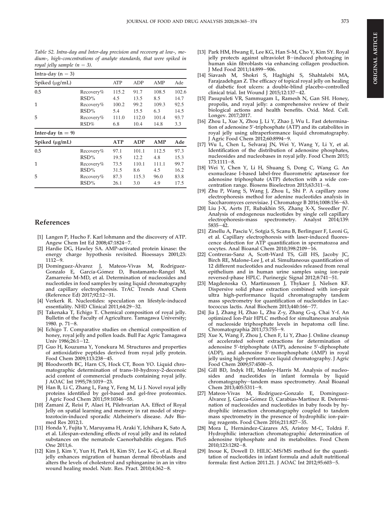<span id="page-9-0"></span>Table S2. Intra-day and Inter-day precision and recovery at low-, medium-, high-concentrations of analyte standards, that were spiked in royal jelly sample  $(n = 3)$ .

| Intra-day ( $n = 3$ ) |           |            |            |       |       |
|-----------------------|-----------|------------|------------|-------|-------|
| Spiked (µg/mL)        |           | <b>ATP</b> | ADP        | AMP   | Ade   |
| 0.5                   | Recovery% | 115.2      | 91.7       | 108.5 | 102.6 |
|                       | RSD%      | 4.5        | 13.5       | 8.5   | 14.7  |
| 1                     | Recovery% | 100.2      | 99.2       | 109.3 | 92.5  |
|                       | RSD%      | 5.4        | 15.5       | 6.3   | 14.5  |
| 5                     | Recovery% | 111.0      | 112.0      | 101.4 | 93.7  |
|                       | RSD%      | 6.8        | 10.4       | 14.8  | 3.3   |
| Inter-day $(n = 9)$   |           |            |            |       |       |
| Spiked (µg/mL)        |           | <b>ATP</b> | <b>ADP</b> | AMP   | Ade   |
| 0.5                   | Recovery% | 97.1       | 101.1      | 112.5 | 97.3  |
|                       | RSD%      | 19.5       | 12.2       | 4.8   | 15.3  |
| 1                     | Recovery% | 73.5       | 110.1      | 111.1 | 99.7  |
|                       | RSD%      | 31.5       | 8.6        | 4.5   | 16.2  |
| 5                     | Recovery% | 87.3       | 115.3      | 96.0  | 83.8  |
|                       | RSD%      | 26.1       | 3.0        | 4.9   | 17.5  |

### References

- [1] Langen P, Hucho F. Karl lohmann and the discovery of ATP. Angew Chem Int Ed 2008;47:1824-7.
- [2] Hardie DG, Hawley SA. AMP-activated protein kinase: the energy charge hypothesis revisited. Bioessays 2001;23:  $1112 - 9.$
- [3] Domínguez-Álvarez J, Mateos-Vivas M, Rodríguez-Gonzalo E, García-Gomez D, Bustamante-Rangel M, Zamarreño M-MD, et al. Determination of nucleosides and nucleotides in food samples by using liquid chromatography and capillary electrophoresis. TrAC Trends Anal Chem (Reference Ed) 2017;92:12-31.
- [4] Verkerk R. Nucleotides: speculation on lifestyle-induced essentiality. NHD Clinical 2011;64:29-32.
- [5] Takenaka T, Echigo T. Chemical composition of royal jelly. Bulletin of the Faculty of Agriculture. Tamagawa University; 1980. p.  $71-8$ .
- [6] Echigo T. Comparative studies on chemical composition of honey, royal jelly and pollen loads. Bull Fac Agric Tamagawa Univ 1986;26:1-12.
- [7] Guo H, Kouzuma Y, Yonekura M. Structures and properties of antioxidative peptides derived from royal jelly protein. Food Chem 2009;113:238-45.
- [8] Bloodworth BC, Harn CS, Hock CT, Boon YO. Liquid chromatographic determination of trans-10-hydroxy-2-decenoic acid content of commercial products containing royal jelly. J AOAC Int 1995;78:1019-23.
- [9] Han B, Li C, Zhang L, Fang Y, Feng M, Li J. Novel royal jelly proteins identified by gel-based and gel-free proteomics. J Agric Food Chem 2011;59:10346-55.
- [10] Zamani Z, Reisi P, Alaei H, Pilehvarian AA. Effect of Royal Jelly on spatial learning and memory in rat model of streptozotocin-induced sporadic Alzheimer's disease. Adv Biomed Res 2012;1.
- [11] Honda Y, Fujita Y, Maruyama H, Araki Y, Ichihara K, Sato A, et al. Lifespan-extending effects of royal jelly and its related substances on the nematode Caenorhabditis elegans. PloS One 2011;6.
- [12] Kim J, Kim Y, Yun H, Park H, Kim SY, Lee K-G, et al. Royal jelly enhances migration of human dermal fibroblasts and alters the levels of cholesterol and sphinganine in an in vitro wound healing model. Nutr. Res. Pract. 2010;4:362-8.
- [13] Park HM, Hwang E, Lee KG, Han S-M, Cho Y, Kim SY. Royal jelly protects against ultraviolet B-induced photoaging in human skin fibroblasts via enhancing collagen production. J Med Food 2011;14:899-906.
- [14] Siavash M, Shokri S, Haghighi S, Shahtalebi MA, Farajzadehgan Z. The efficacy of topical royal jelly on healing of diabetic foot ulcers: a double-blind placebo-controlled clinical trial. Int Wound J 2015;12:137-42.
- [15] Pasupuleti VR, Sammugam L, Ramesh N, Gan SH. Honey, propolis, and royal jelly: a comprehensive review of their biological actions and health benefits. Oxid. Med. Cell. Longev. 2017;2017.
- [16] Zhou L, Xue X, Zhou J, Li Y, Zhao J, Wu L. Fast determination of adenosine 5′-triphosphate (ATP) and its catabolites in royal jelly using ultraperformance liquid chromatography. J Agric Food Chem 2012;60:8994-9.
- [17] Wu L, Chen L, Selvaraj JN, Wei Y, Wang Y, Li Y, et al. Identification of the distribution of adenosine phosphates, nucleosides and nucleobases in royal jelly. Food Chem 2015;  $173:1111-8.$
- [18] Wei Y, Chen Y, Li H, Shuang S, Dong C, Wang G. An exonuclease I-based label-free fluorometric aptasensor for adenosine triphosphate (ATP) detection with a wide concentration range. Biosens Bioelectron 2015;63:311-6.
- [19] Zhu P, Wang S, Wang J, Zhou L, Shi P. A capillary zone electrophoresis method for adenine nucleotides analysis in Saccharomyces cerevisiae. J Chromatogr B 2016;1008:156-63.
- [20] Liu J-X, Aerts JT, Rubakhin SS, Zhang X-X, Sweedler JV. Analysis of endogenous nucleotides by single cell capillary electrophoresis-mass spectrometry. Analyst 2014;139:  $5835 - 42.$
- [21] Zinellu A, Pasciu V, Sotgia S, Scanu B, Berlinguer F, Leoni G, et al. Capillary electrophoresis with laser-induced fluorescence detection for ATP quantification in spermatozoa and oocytes. Anal Bioanal Chem 2010;398:2109-16.
- [22] Contreras-Sanz A, Scott-Ward TS, Gill HS, Jacoby JC, Birch RE, Malone-Lee J, et al. Simultaneous quantification of 12 different nucleotides and nucleosides released from renal epithelium and in human urine samples using ion-pair reversed-phase HPLC. Purinergic Signal 2012;8:741-51.
- [23] Magdenoska O, Martinussen J, Thykaer J, Nielsen KF. Dispersive solid phase extraction combined with ion-pair ultra high-performance liquid chromatography tandem mass spectrometry for quantification of nucleotides in Lactococcus lactis. Anal Biochem 2013;440:166-77.
- [24] Jia J, Zhang H, Zhao L, Zhu Z-y, Zhang G-q, Chai Y-f. An optimized Ion-Pair HPLC method for simultaneous analysis of nucleoside triphosphate levels in hepatoma cell line. Chromatographia  $2011$ ;73:755-9.
- [25] Xue X, Wang F, Zhou J, Chen F, Li Y, Zhao J. Online cleanup of accelerated solvent extractions for determination of adenosine 5'-triphosphate (ATP), adenosine 5'-diphosphate (ADP), and adenosine 5'-monophosphate (AMP) in royal jelly using high-performance liquid chromatography. J Agric Food Chem 2009;57:4500-5.
- [26] Gill BD, Indyk HE, Manley-Harris M. Analysis of nucleosides and nucleotides in infant formula by liquid chromatography-tandem mass spectrometry. Anal Bioanal Chem  $2013;405:5311-9$ .
- [27] Mateos-Vivas M, Rodríguez-Gonzalo E, Domínguez-Álvarez J, García-Gómez D, Carabias-Martínez R. Determination of nucleosides and nucleotides in baby foods by hydrophilic interaction chromatography coupled to tandem mass spectrometry in the presence of hydrophilic ion-pairing reagents. Food Chem 2016;211:827-35.
- [28] Mora L, Hernández-Cázares AS, Aristoy M-C, Toldrá F. Hydrophilic interaction chromatographic determination of adenosine triphosphate and its metabolites. Food Chem 2010;123:1282-8.
- [29] Inoue K, Dowell D. HILIC-MS/MS method for the quantitation of nucleotides in infant formula and adult nutritional formula: first Action 2011.21. J AOAC Int 2012;95:603-5.